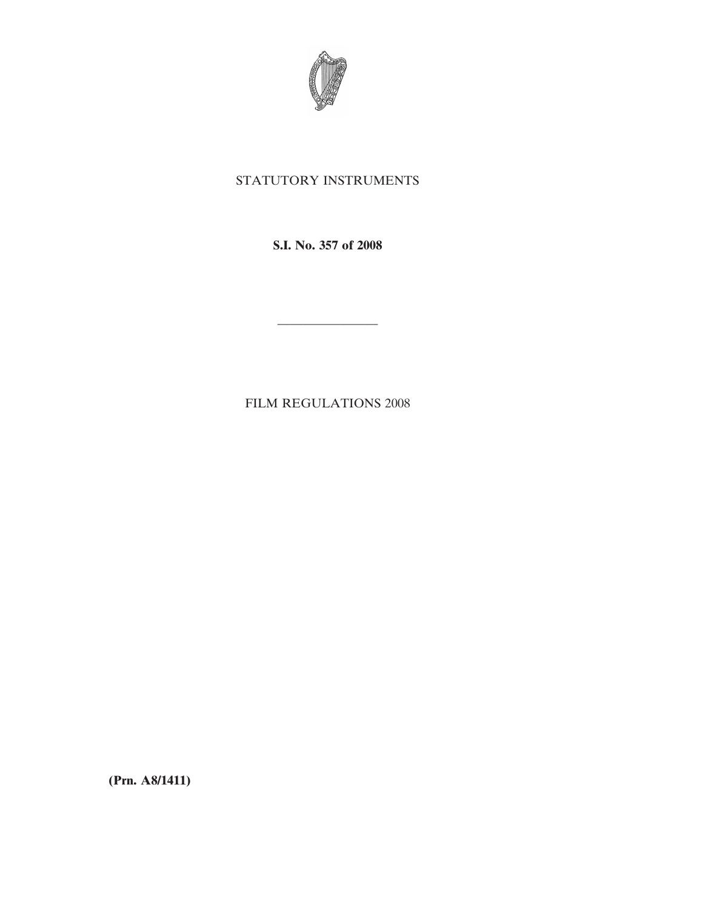

# STATUTORY INSTRUMENTS

**S.I. No. 357 of 2008**

————————

FILM REGULATIONS 2008

**(Prn. A8/1411)**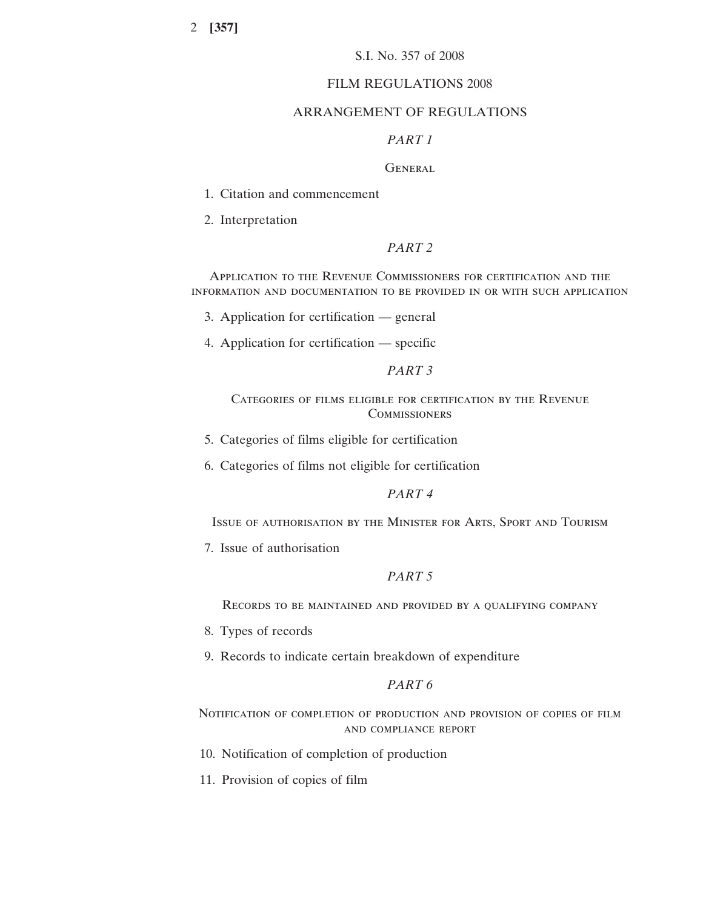## S.I. No. 357 of 2008

## FILM REGULATIONS 2008

#### ARRANGEMENT OF REGULATIONS

## *PART 1*

## GENERAL.

1. Citation and commencement

2. Interpretation

## *PART 2*

Application to the Revenue Commissioners for certification and the information and documentation to be provided in or with such application

3. Application for certification — general

4. Application for certification — specific

## *PART 3*

Categories of films eligible for certification by the Revenue **COMMISSIONERS** 

5. Categories of films eligible for certification

6. Categories of films not eligible for certification

## *PART 4*

Issue of authorisation by the Minister for Arts, Sport and Tourism

7. Issue of authorisation

## *PART 5*

Records to be maintained and provided by a qualifying company

- 8. Types of records
- 9. Records to indicate certain breakdown of expenditure

## *PART 6*

Notification of completion of production and provision of copies of film and compliance report

- 10. Notification of completion of production
- 11. Provision of copies of film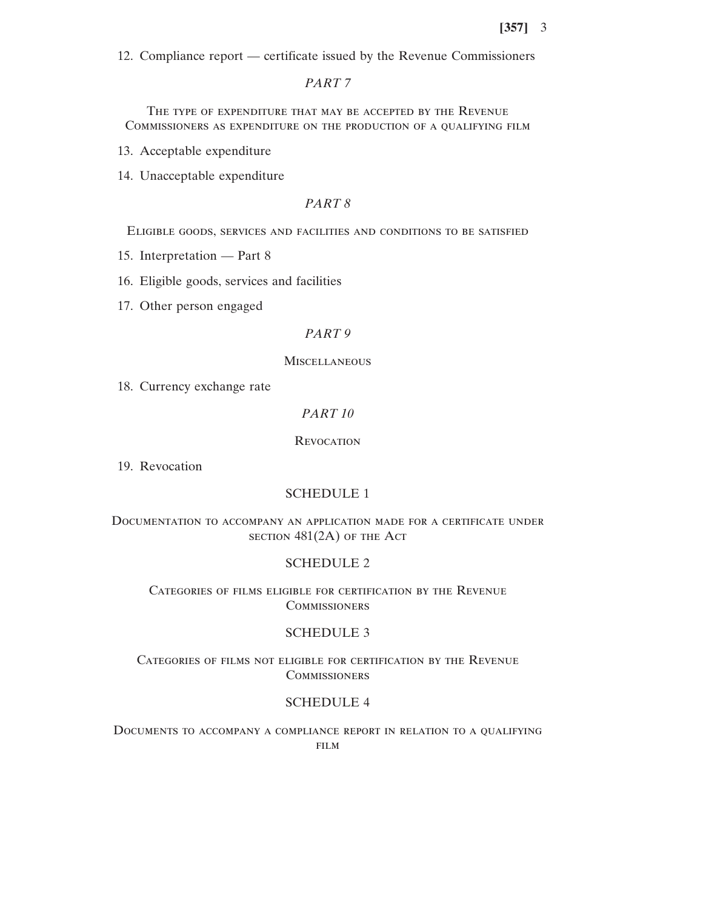12. Compliance report — certificate issued by the Revenue Commissioners

*PART 7*

The type of expenditure that may be accepted by the Revenue Commissioners as expenditure on the production of a qualifying film

13. Acceptable expenditure

14. Unacceptable expenditure

## *PART 8*

Eligible goods, services and facilities and conditions to be satisfied

15. Interpretation — Part 8

16. Eligible goods, services and facilities

17. Other person engaged

## *PART 9*

#### **MISCELLANEOUS**

18. Currency exchange rate

### *PART 10*

**REVOCATION** 

19. Revocation

## SCHEDULE 1

## Documentation to accompany an application made for a certificate under  $s$  section  $481(2A)$  of the Act

#### SCHEDULE 2

## Categories of films eligible for certification by the Revenue **COMMISSIONERS**

## SCHEDULE 3

Categories of films not eligible for certification by the Revenue **COMMISSIONERS** 

#### SCHEDULE 4

Documents to accompany a compliance report in relation to a qualifying FILM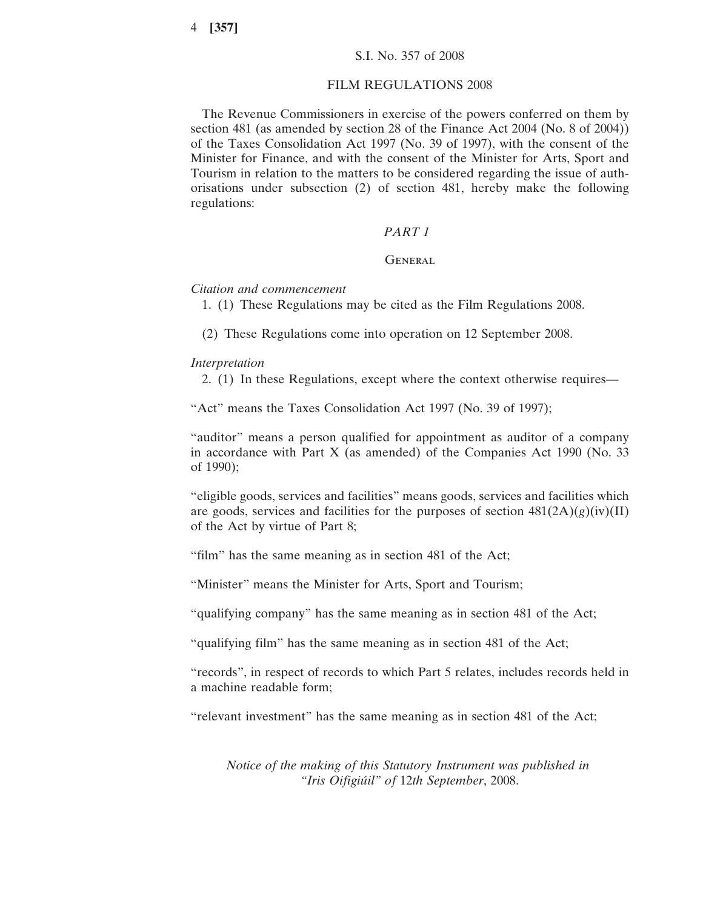#### FILM REGULATIONS 2008

The Revenue Commissioners in exercise of the powers conferred on them by section 481 (as amended by section 28 of the Finance Act 2004 (No. 8 of 2004)) of the Taxes Consolidation Act 1997 (No. 39 of 1997), with the consent of the Minister for Finance, and with the consent of the Minister for Arts, Sport and Tourism in relation to the matters to be considered regarding the issue of authorisations under subsection (2) of section 481, hereby make the following regulations:

#### *PART 1*

## **GENERAL**

#### *Citation and commencement*

1. (1) These Regulations may be cited as the Film Regulations 2008.

(2) These Regulations come into operation on 12 September 2008.

#### *Interpretation*

2. (1) In these Regulations, except where the context otherwise requires—

"Act" means the Taxes Consolidation Act 1997 (No. 39 of 1997);

"auditor" means a person qualified for appointment as auditor of a company in accordance with Part X (as amended) of the Companies Act 1990 (No. 33 of 1990);

"eligible goods, services and facilities" means goods, services and facilities which are goods, services and facilities for the purposes of section  $481(2A)(g)(iv)(II)$ of the Act by virtue of Part 8;

"film" has the same meaning as in section 481 of the Act;

"Minister" means the Minister for Arts, Sport and Tourism;

"qualifying company" has the same meaning as in section 481 of the Act;

"qualifying film" has the same meaning as in section 481 of the Act;

"records", in respect of records to which Part 5 relates, includes records held in a machine readable form;

"relevant investment" has the same meaning as in section 481 of the Act;

*Notice of the making of this Statutory Instrument was published in "Iris Oifigiu´il" of* 12*th September*, 2008.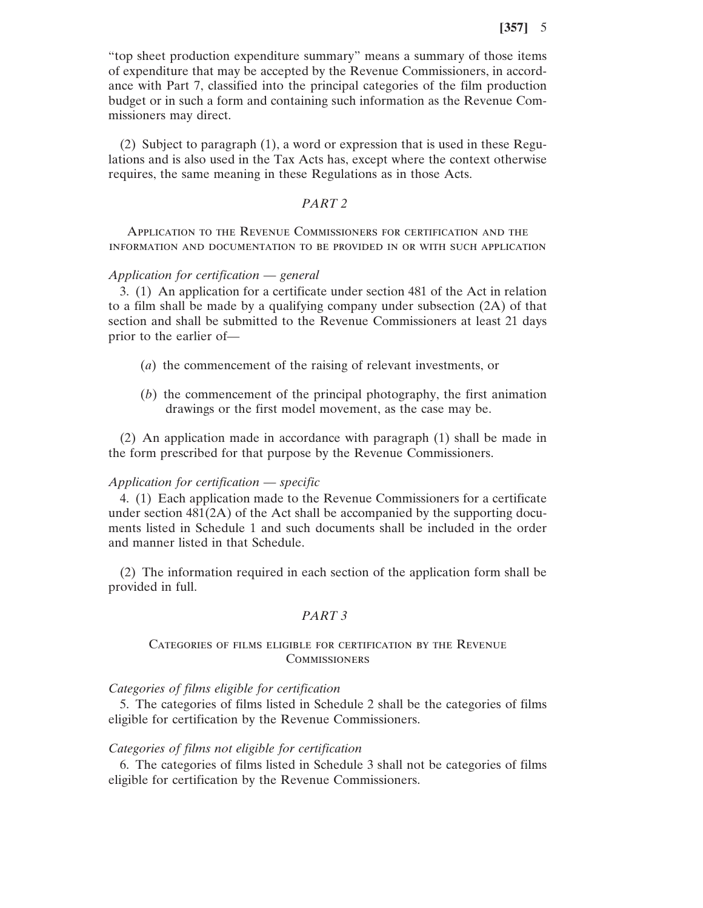"top sheet production expenditure summary" means a summary of those items of expenditure that may be accepted by the Revenue Commissioners, in accordance with Part 7, classified into the principal categories of the film production budget or in such a form and containing such information as the Revenue Commissioners may direct.

(2) Subject to paragraph (1), a word or expression that is used in these Regulations and is also used in the Tax Acts has, except where the context otherwise requires, the same meaning in these Regulations as in those Acts.

## *PART 2*

Application to the Revenue Commissioners for certification and the information and documentation to be provided in or with such application

#### *Application for certification* — *general*

3. (1) An application for a certificate under section 481 of the Act in relation to a film shall be made by a qualifying company under subsection (2A) of that section and shall be submitted to the Revenue Commissioners at least 21 days prior to the earlier of—

- (*a*) the commencement of the raising of relevant investments, or
- (*b*) the commencement of the principal photography, the first animation drawings or the first model movement, as the case may be.

(2) An application made in accordance with paragraph (1) shall be made in the form prescribed for that purpose by the Revenue Commissioners.

#### *Application for certification* — *specific*

4. (1) Each application made to the Revenue Commissioners for a certificate under section  $481(2A)$  of the Act shall be accompanied by the supporting documents listed in Schedule 1 and such documents shall be included in the order and manner listed in that Schedule.

(2) The information required in each section of the application form shall be provided in full.

#### *PART 3*

## Categories of films eligible for certification by the Revenue **COMMISSIONERS**

#### *Categories of films eligible for certification*

5. The categories of films listed in Schedule 2 shall be the categories of films eligible for certification by the Revenue Commissioners.

## *Categories of films not eligible for certification*

6. The categories of films listed in Schedule 3 shall not be categories of films eligible for certification by the Revenue Commissioners.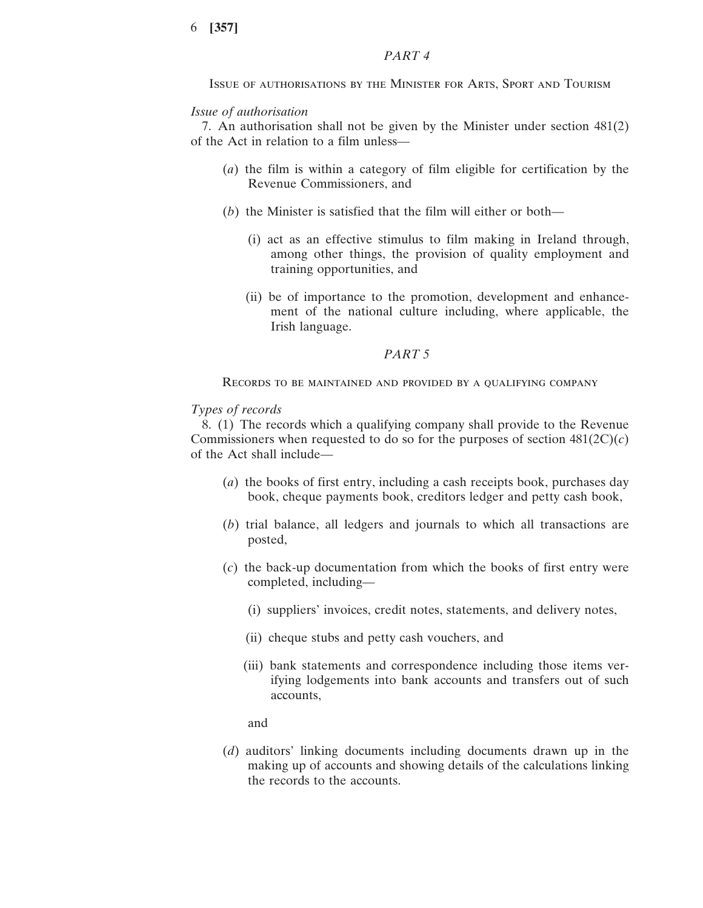## *PART 4*

Issue of authorisations by the Minister for Arts, Sport and Tourism

## *Issue of authorisation*

7. An authorisation shall not be given by the Minister under section 481(2) of the Act in relation to a film unless—

- (*a*) the film is within a category of film eligible for certification by the Revenue Commissioners, and
- (*b*) the Minister is satisfied that the film will either or both—
	- (i) act as an effective stimulus to film making in Ireland through, among other things, the provision of quality employment and training opportunities, and
	- (ii) be of importance to the promotion, development and enhancement of the national culture including, where applicable, the Irish language.

#### *PART 5*

Records to be maintained and provided by a qualifying company

## *Types of records*

8. (1) The records which a qualifying company shall provide to the Revenue Commissioners when requested to do so for the purposes of section  $481(2C)(c)$ of the Act shall include—

- (*a*) the books of first entry, including a cash receipts book, purchases day book, cheque payments book, creditors ledger and petty cash book,
- (*b*) trial balance, all ledgers and journals to which all transactions are posted,
- (*c*) the back-up documentation from which the books of first entry were completed, including—
	- (i) suppliers' invoices, credit notes, statements, and delivery notes,
	- (ii) cheque stubs and petty cash vouchers, and
	- (iii) bank statements and correspondence including those items verifying lodgements into bank accounts and transfers out of such accounts,

and

(*d*) auditors' linking documents including documents drawn up in the making up of accounts and showing details of the calculations linking the records to the accounts.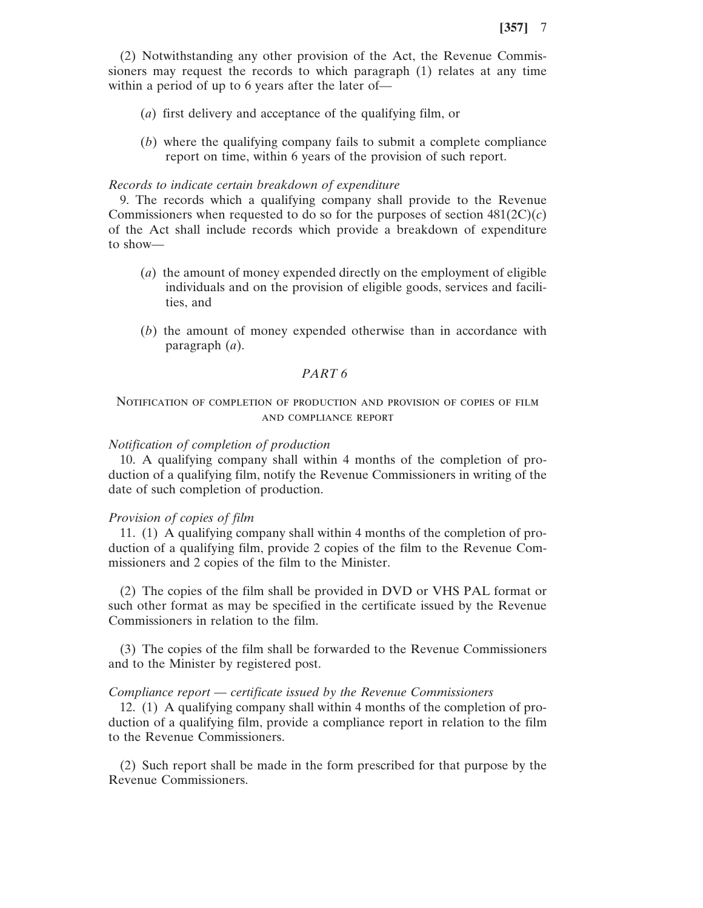(2) Notwithstanding any other provision of the Act, the Revenue Commissioners may request the records to which paragraph (1) relates at any time within a period of up to 6 years after the later of—

- (*a*) first delivery and acceptance of the qualifying film, or
- (*b*) where the qualifying company fails to submit a complete compliance report on time, within 6 years of the provision of such report.

#### *Records to indicate certain breakdown of expenditure*

9. The records which a qualifying company shall provide to the Revenue Commissioners when requested to do so for the purposes of section  $481(2C)(c)$ of the Act shall include records which provide a breakdown of expenditure to show—

- (*a*) the amount of money expended directly on the employment of eligible individuals and on the provision of eligible goods, services and facilities, and
- (*b*) the amount of money expended otherwise than in accordance with paragraph (*a*).

## *PART 6*

## Notification of completion of production and provision of copies of film and compliance report

## *Notification of completion of production*

10. A qualifying company shall within 4 months of the completion of production of a qualifying film, notify the Revenue Commissioners in writing of the date of such completion of production.

#### *Provision of copies of film*

11. (1) A qualifying company shall within 4 months of the completion of production of a qualifying film, provide 2 copies of the film to the Revenue Commissioners and 2 copies of the film to the Minister.

(2) The copies of the film shall be provided in DVD or VHS PAL format or such other format as may be specified in the certificate issued by the Revenue Commissioners in relation to the film.

(3) The copies of the film shall be forwarded to the Revenue Commissioners and to the Minister by registered post.

#### *Compliance report* — *certificate issued by the Revenue Commissioners*

12. (1) A qualifying company shall within 4 months of the completion of production of a qualifying film, provide a compliance report in relation to the film to the Revenue Commissioners.

(2) Such report shall be made in the form prescribed for that purpose by the Revenue Commissioners.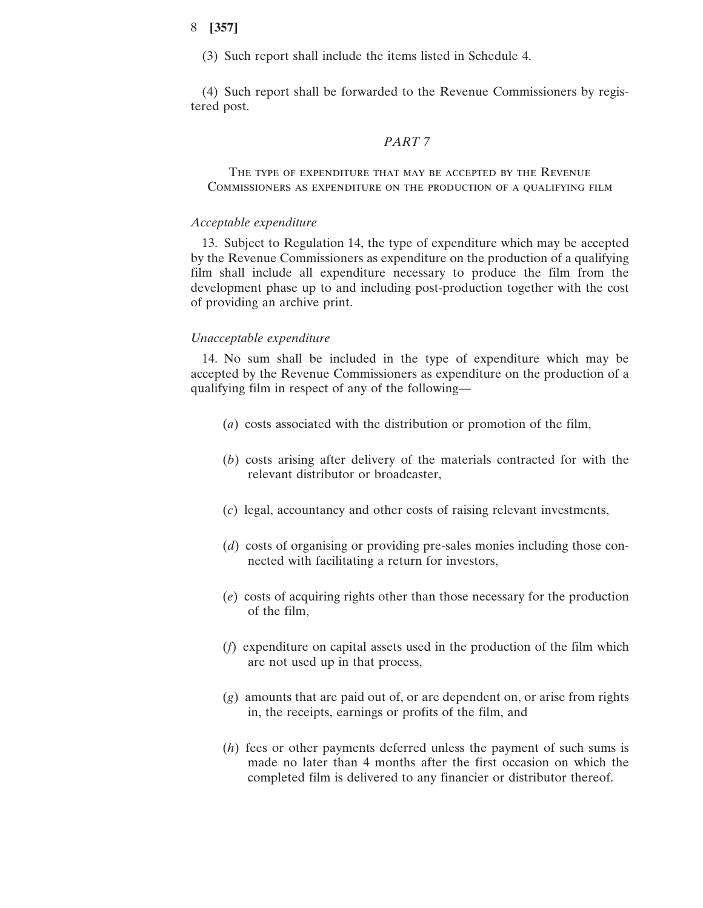(3) Such report shall include the items listed in Schedule 4.

(4) Such report shall be forwarded to the Revenue Commissioners by registered post.

#### *PART 7*

The type of expenditure that may be accepted by the Revenue Commissioners as expenditure on the production of a qualifying film

#### *Acceptable expenditure*

13. Subject to Regulation 14, the type of expenditure which may be accepted by the Revenue Commissioners as expenditure on the production of a qualifying film shall include all expenditure necessary to produce the film from the development phase up to and including post-production together with the cost of providing an archive print.

#### *Unacceptable expenditure*

14. No sum shall be included in the type of expenditure which may be accepted by the Revenue Commissioners as expenditure on the production of a qualifying film in respect of any of the following—

- (*a*) costs associated with the distribution or promotion of the film,
- (*b*) costs arising after delivery of the materials contracted for with the relevant distributor or broadcaster,
- (*c*) legal, accountancy and other costs of raising relevant investments,
- (*d*) costs of organising or providing pre-sales monies including those connected with facilitating a return for investors,
- (*e*) costs of acquiring rights other than those necessary for the production of the film,
- (*f*) expenditure on capital assets used in the production of the film which are not used up in that process,
- (*g*) amounts that are paid out of, or are dependent on, or arise from rights in, the receipts, earnings or profits of the film, and
- (*h*) fees or other payments deferred unless the payment of such sums is made no later than 4 months after the first occasion on which the completed film is delivered to any financier or distributor thereof.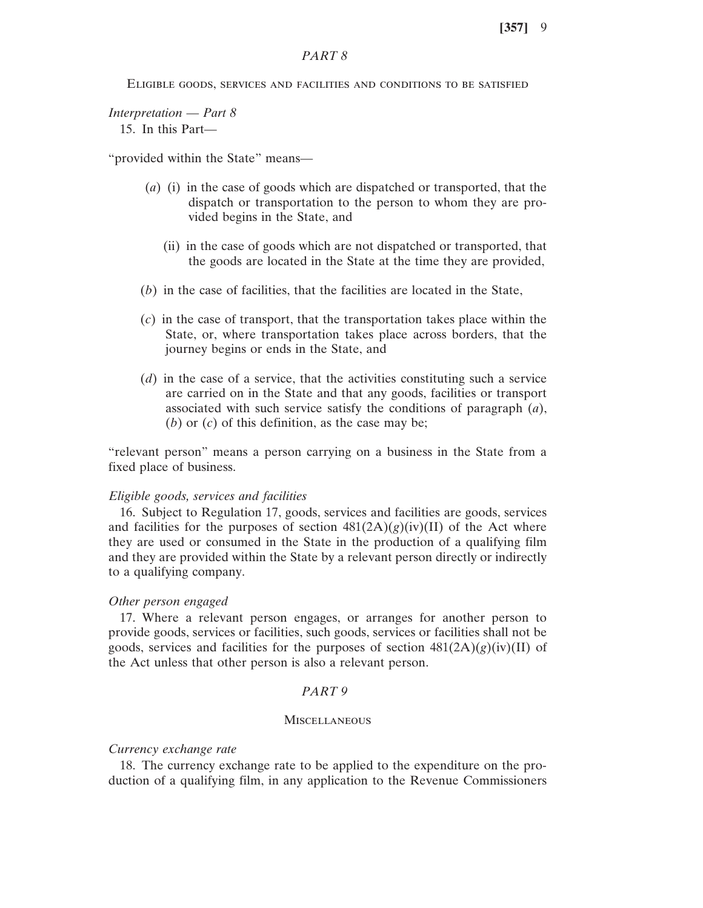## *PART 8*

Eligible goods, services and facilities and conditions to be satisfied

*Interpretation* — *Part 8* 15. In this Part—

"provided within the State" means—

- (*a*) (i) in the case of goods which are dispatched or transported, that the dispatch or transportation to the person to whom they are provided begins in the State, and
	- (ii) in the case of goods which are not dispatched or transported, that the goods are located in the State at the time they are provided,
- (*b*) in the case of facilities, that the facilities are located in the State,
- (*c*) in the case of transport, that the transportation takes place within the State, or, where transportation takes place across borders, that the journey begins or ends in the State, and
- (*d*) in the case of a service, that the activities constituting such a service are carried on in the State and that any goods, facilities or transport associated with such service satisfy the conditions of paragraph (*a*), (*b*) or (*c*) of this definition, as the case may be;

"relevant person" means a person carrying on a business in the State from a fixed place of business.

#### *Eligible goods, services and facilities*

16. Subject to Regulation 17, goods, services and facilities are goods, services and facilities for the purposes of section  $481(2A)(g)(iv)(II)$  of the Act where they are used or consumed in the State in the production of a qualifying film and they are provided within the State by a relevant person directly or indirectly to a qualifying company.

#### *Other person engaged*

17. Where a relevant person engages, or arranges for another person to provide goods, services or facilities, such goods, services or facilities shall not be goods, services and facilities for the purposes of section  $481(2A)(g)(iv)(II)$  of the Act unless that other person is also a relevant person.

#### *PART 9*

#### **MISCELLANEOUS**

#### *Currency exchange rate*

18. The currency exchange rate to be applied to the expenditure on the production of a qualifying film, in any application to the Revenue Commissioners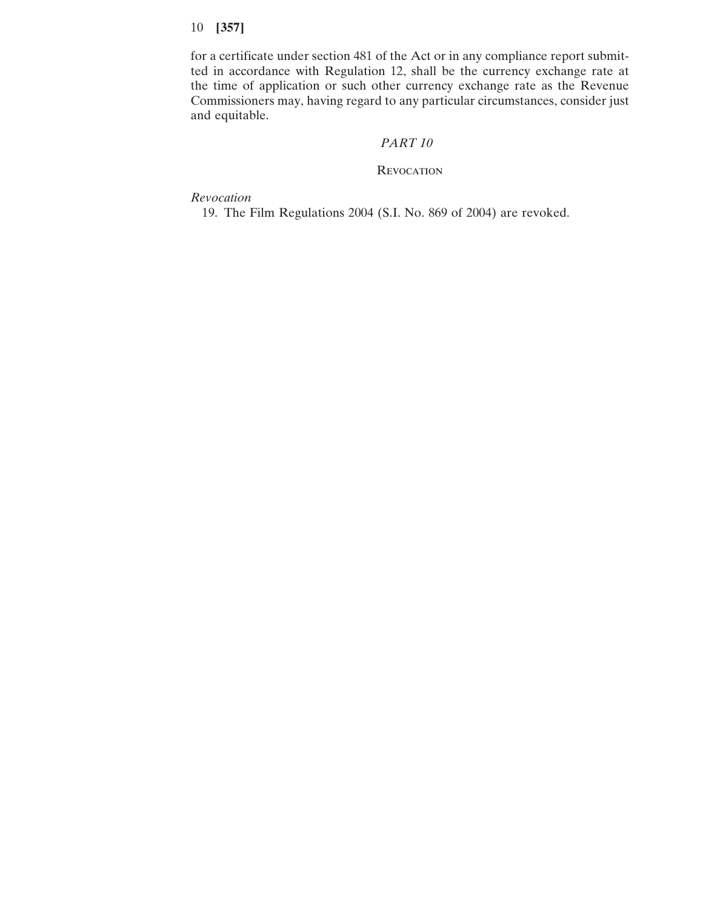for a certificate under section 481 of the Act or in any compliance report submitted in accordance with Regulation 12, shall be the currency exchange rate at the time of application or such other currency exchange rate as the Revenue Commissioners may, having regard to any particular circumstances, consider just and equitable.

## *PART 10*

## **REVOCATION**

*Revocation*

19. The Film Regulations 2004 (S.I. No. 869 of 2004) are revoked.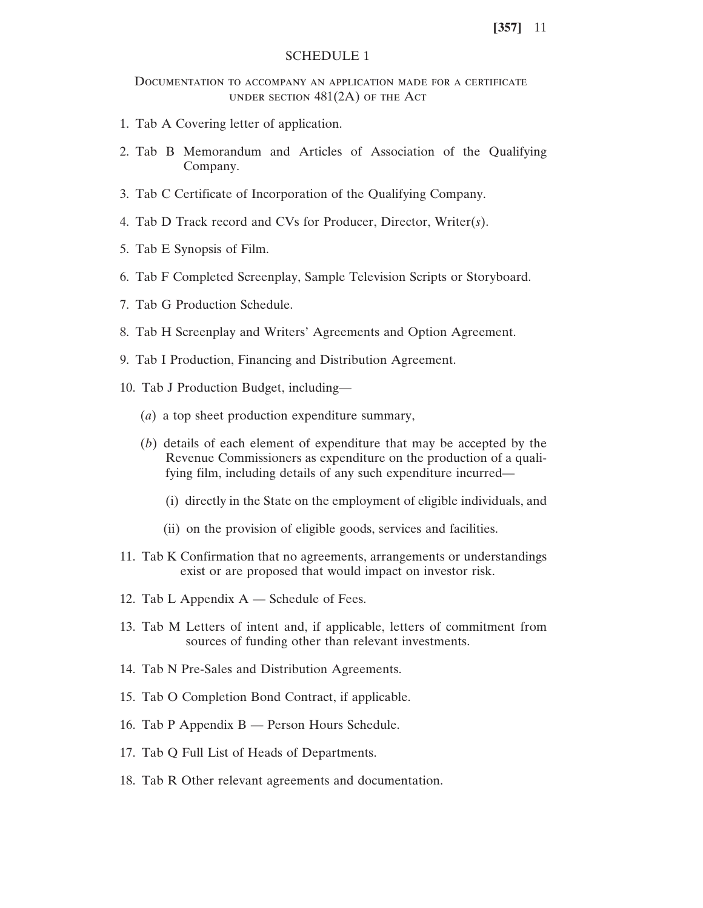## SCHEDULE 1

## Documentation to accompany an application made for a certificate under section 481(2A) of the Act

- 1. Tab A Covering letter of application.
- 2. Tab B Memorandum and Articles of Association of the Qualifying Company.
- 3. Tab C Certificate of Incorporation of the Qualifying Company.
- 4. Tab D Track record and CVs for Producer, Director, Writer(*s*).
- 5. Tab E Synopsis of Film.
- 6. Tab F Completed Screenplay, Sample Television Scripts or Storyboard.
- 7. Tab G Production Schedule.
- 8. Tab H Screenplay and Writers' Agreements and Option Agreement.
- 9. Tab I Production, Financing and Distribution Agreement.
- 10. Tab J Production Budget, including—
	- (*a*) a top sheet production expenditure summary,
	- (*b*) details of each element of expenditure that may be accepted by the Revenue Commissioners as expenditure on the production of a qualifying film, including details of any such expenditure incurred—
		- (i) directly in the State on the employment of eligible individuals, and
		- (ii) on the provision of eligible goods, services and facilities.
- 11. Tab K Confirmation that no agreements, arrangements or understandings exist or are proposed that would impact on investor risk.
- 12. Tab L Appendix A Schedule of Fees.
- 13. Tab M Letters of intent and, if applicable, letters of commitment from sources of funding other than relevant investments.
- 14. Tab N Pre-Sales and Distribution Agreements.
- 15. Tab O Completion Bond Contract, if applicable.
- 16. Tab P Appendix B Person Hours Schedule.
- 17. Tab Q Full List of Heads of Departments.
- 18. Tab R Other relevant agreements and documentation.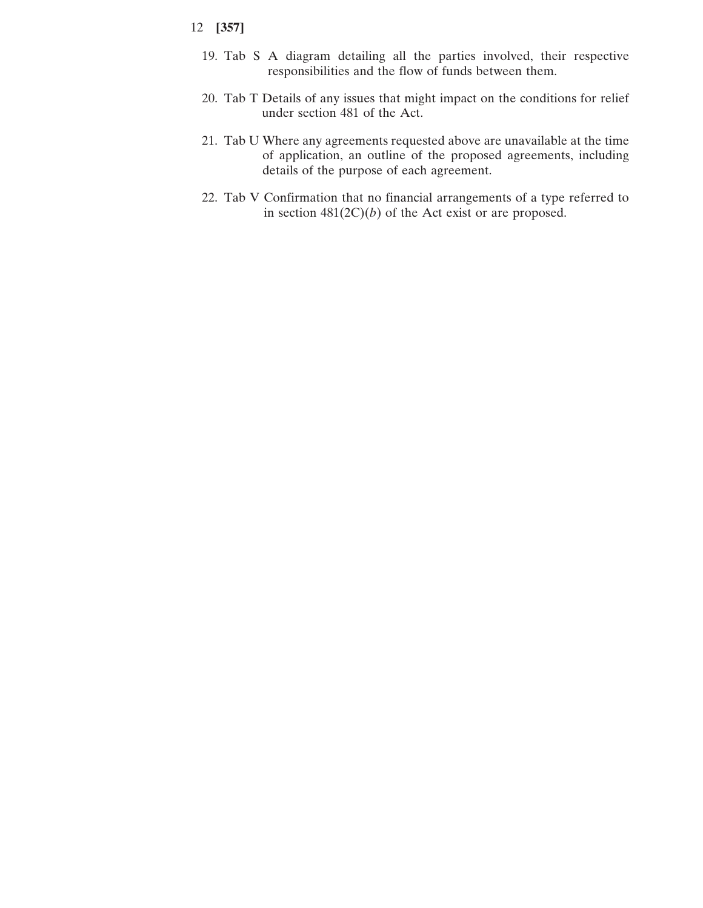- 19. Tab S A diagram detailing all the parties involved, their respective responsibilities and the flow of funds between them.
- 20. Tab T Details of any issues that might impact on the conditions for relief under section 481 of the Act.
- 21. Tab U Where any agreements requested above are unavailable at the time of application, an outline of the proposed agreements, including details of the purpose of each agreement.
- 22. Tab V Confirmation that no financial arrangements of a type referred to in section  $481(2C)(b)$  of the Act exist or are proposed.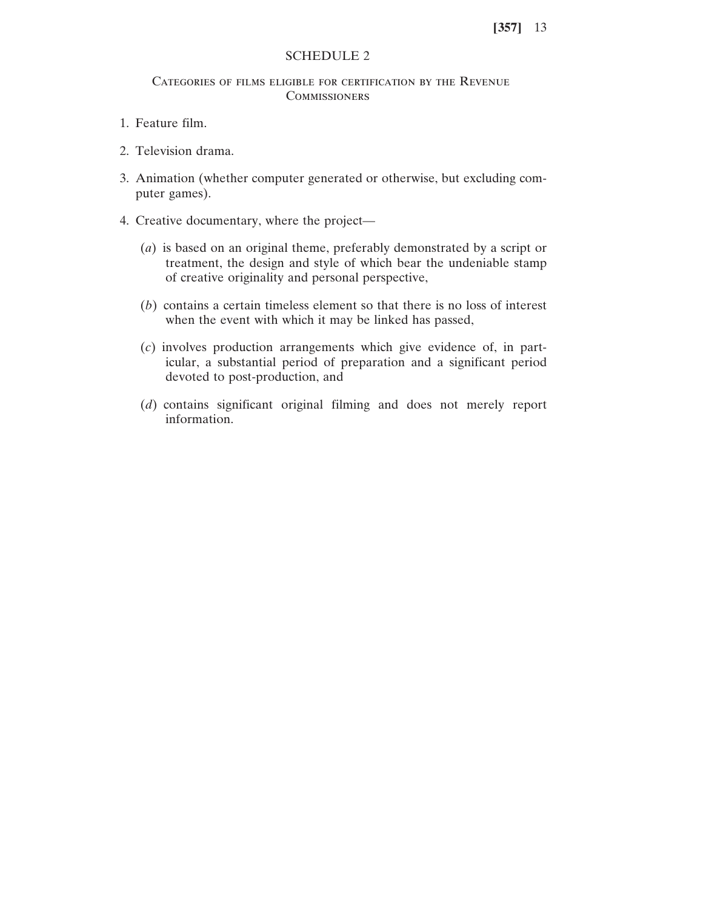## SCHEDULE 2

## Categories of films eligible for certification by the Revenue **COMMISSIONERS**

- 1. Feature film.
- 2. Television drama.
- 3. Animation (whether computer generated or otherwise, but excluding computer games).
- 4. Creative documentary, where the project—
	- (*a*) is based on an original theme, preferably demonstrated by a script or treatment, the design and style of which bear the undeniable stamp of creative originality and personal perspective,
	- (*b*) contains a certain timeless element so that there is no loss of interest when the event with which it may be linked has passed,
	- (*c*) involves production arrangements which give evidence of, in particular, a substantial period of preparation and a significant period devoted to post-production, and
	- (*d*) contains significant original filming and does not merely report information.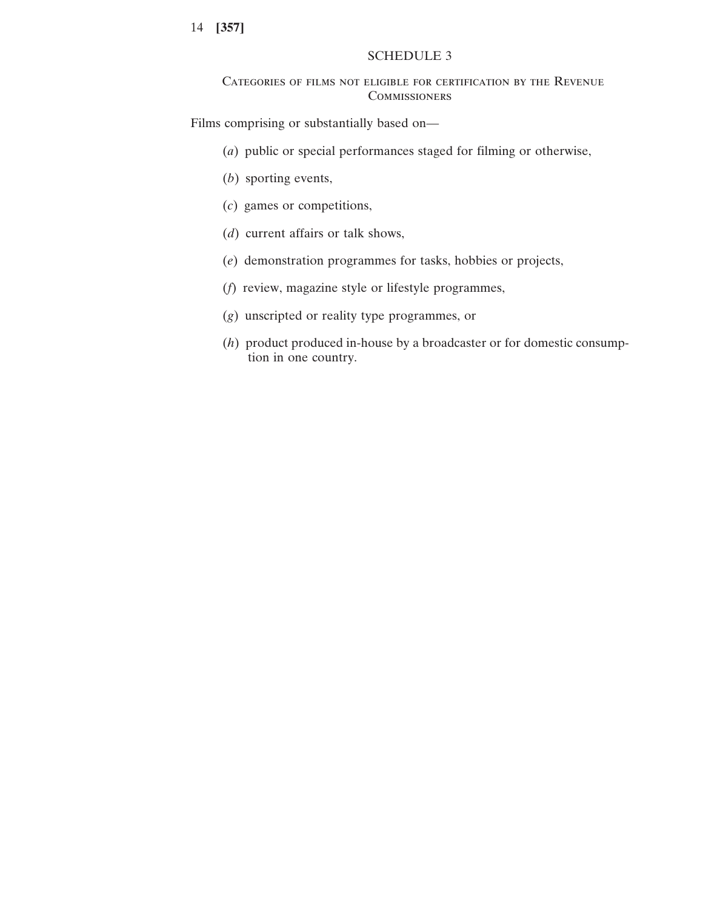## SCHEDULE 3

## Categories of films not eligible for certification by the Revenue **COMMISSIONERS**

Films comprising or substantially based on—

- (*a*) public or special performances staged for filming or otherwise,
- (*b*) sporting events,
- (*c*) games or competitions,
- (*d*) current affairs or talk shows,
- (*e*) demonstration programmes for tasks, hobbies or projects,
- (*f*) review, magazine style or lifestyle programmes,
- (*g*) unscripted or reality type programmes, or
- (*h*) product produced in-house by a broadcaster or for domestic consumption in one country.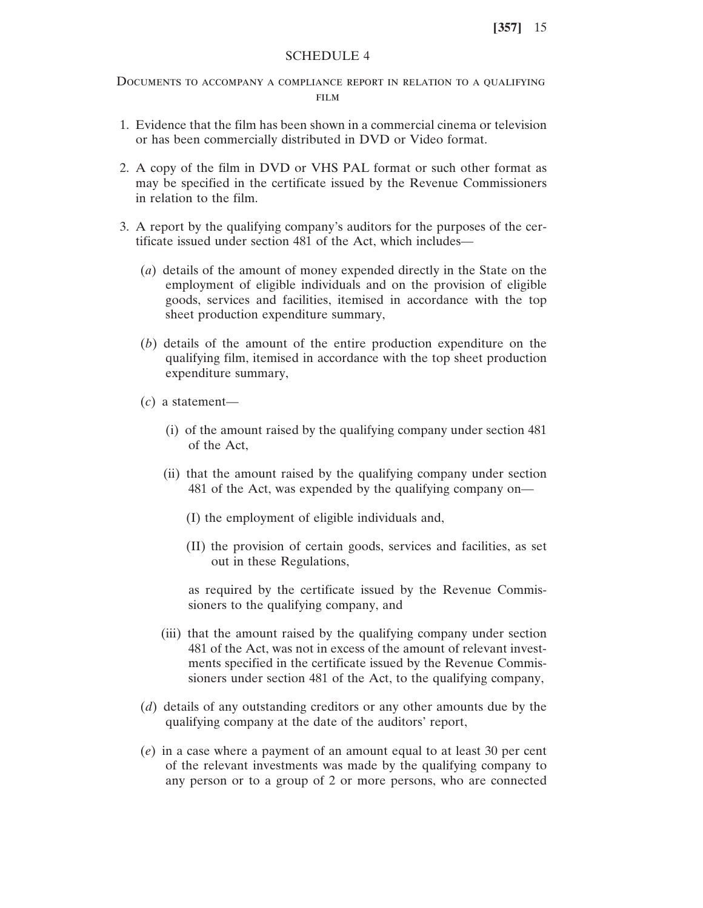## SCHEDULE 4

Documents to accompany a compliance report in relation to a qualifying FILM

- 1. Evidence that the film has been shown in a commercial cinema or television or has been commercially distributed in DVD or Video format.
- 2. A copy of the film in DVD or VHS PAL format or such other format as may be specified in the certificate issued by the Revenue Commissioners in relation to the film.
- 3. A report by the qualifying company's auditors for the purposes of the certificate issued under section 481 of the Act, which includes—
	- (*a*) details of the amount of money expended directly in the State on the employment of eligible individuals and on the provision of eligible goods, services and facilities, itemised in accordance with the top sheet production expenditure summary,
	- (*b*) details of the amount of the entire production expenditure on the qualifying film, itemised in accordance with the top sheet production expenditure summary,
	- (*c*) a statement—
		- (i) of the amount raised by the qualifying company under section 481 of the Act,
		- (ii) that the amount raised by the qualifying company under section 481 of the Act, was expended by the qualifying company on—
			- (I) the employment of eligible individuals and,
			- (II) the provision of certain goods, services and facilities, as set out in these Regulations,

as required by the certificate issued by the Revenue Commissioners to the qualifying company, and

- (iii) that the amount raised by the qualifying company under section 481 of the Act, was not in excess of the amount of relevant investments specified in the certificate issued by the Revenue Commissioners under section 481 of the Act, to the qualifying company,
- (*d*) details of any outstanding creditors or any other amounts due by the qualifying company at the date of the auditors' report,
- (*e*) in a case where a payment of an amount equal to at least 30 per cent of the relevant investments was made by the qualifying company to any person or to a group of 2 or more persons, who are connected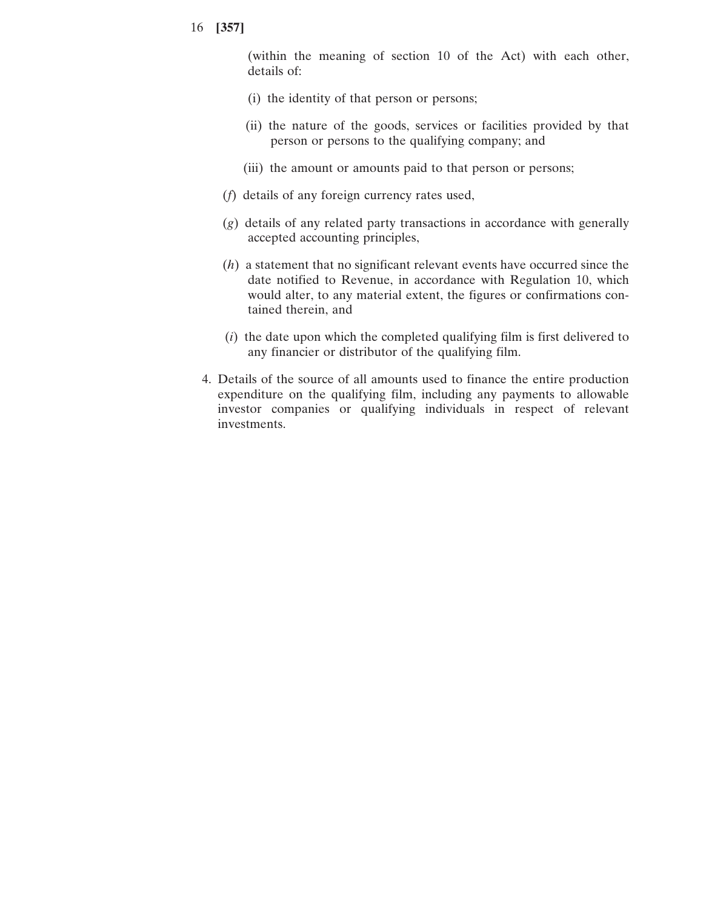(within the meaning of section 10 of the Act) with each other, details of:

- (i) the identity of that person or persons;
- (ii) the nature of the goods, services or facilities provided by that person or persons to the qualifying company; and
- (iii) the amount or amounts paid to that person or persons;
- (*f*) details of any foreign currency rates used,
- (*g*) details of any related party transactions in accordance with generally accepted accounting principles,
- (*h*) a statement that no significant relevant events have occurred since the date notified to Revenue, in accordance with Regulation 10, which would alter, to any material extent, the figures or confirmations contained therein, and
- (*i*) the date upon which the completed qualifying film is first delivered to any financier or distributor of the qualifying film.
- 4. Details of the source of all amounts used to finance the entire production expenditure on the qualifying film, including any payments to allowable investor companies or qualifying individuals in respect of relevant investments.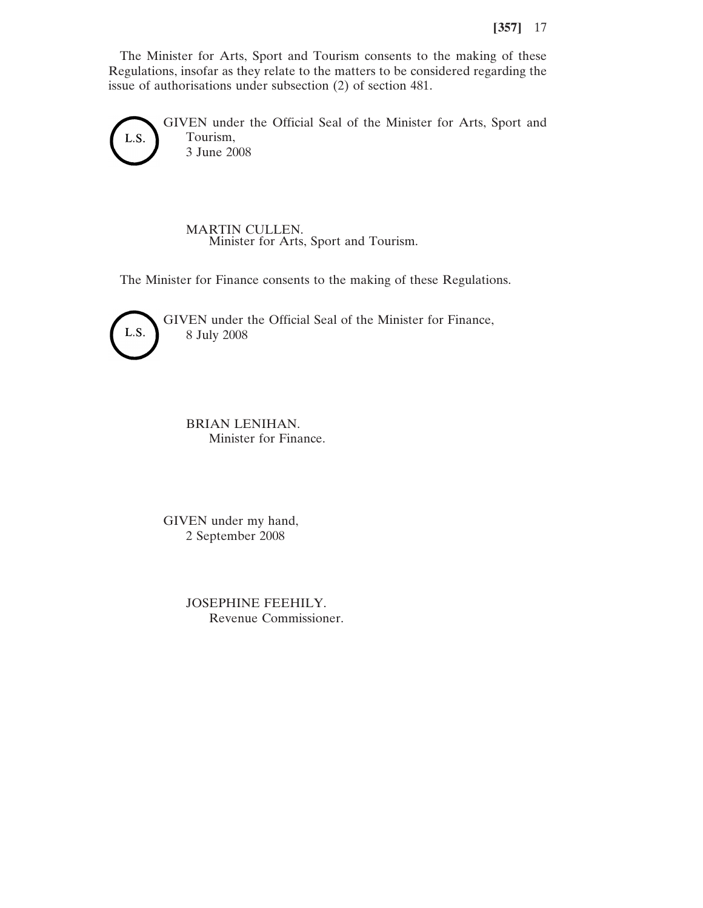The Minister for Arts, Sport and Tourism consents to the making of these Regulations, insofar as they relate to the matters to be considered regarding the issue of authorisations under subsection (2) of section 481.

GIVEN under the Official Seal of the Minister for Arts, Sport and Tourism, L.S. 3 June 2008

> MARTIN CULLEN. Minister for Arts, Sport and Tourism.

The Minister for Finance consents to the making of these Regulations.



GIVEN under the Official Seal of the Minister for Finance, 8 July 2008

BRIAN LENIHAN. Minister for Finance.

GIVEN under my hand, 2 September 2008

> JOSEPHINE FEEHILY. Revenue Commissioner.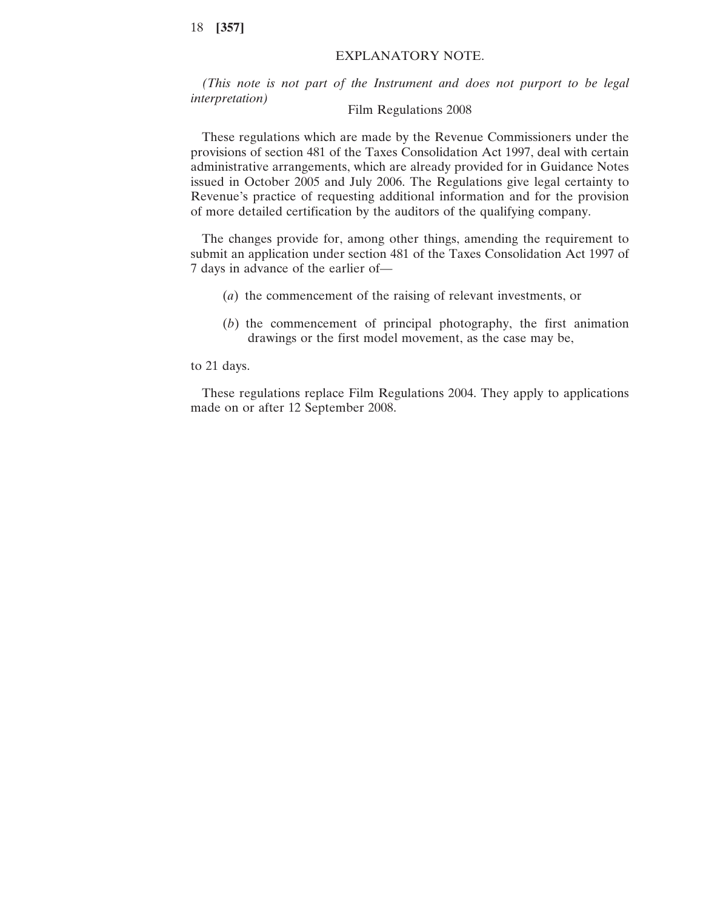## EXPLANATORY NOTE.

*(This note is not part of the Instrument and does not purport to be legal interpretation*) Film Regulations 2008

These regulations which are made by the Revenue Commissioners under the provisions of section 481 of the Taxes Consolidation Act 1997, deal with certain administrative arrangements, which are already provided for in Guidance Notes issued in October 2005 and July 2006. The Regulations give legal certainty to Revenue's practice of requesting additional information and for the provision of more detailed certification by the auditors of the qualifying company.

The changes provide for, among other things, amending the requirement to submit an application under section 481 of the Taxes Consolidation Act 1997 of 7 days in advance of the earlier of—

- (*a*) the commencement of the raising of relevant investments, or
- (*b*) the commencement of principal photography, the first animation drawings or the first model movement, as the case may be,

to 21 days.

These regulations replace Film Regulations 2004. They apply to applications made on or after 12 September 2008.